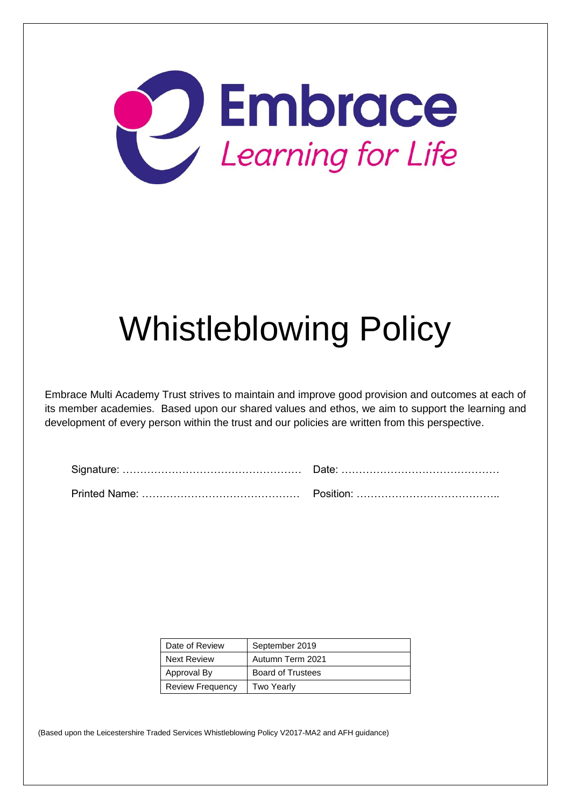

# Whistleblowing Policy

Embrace Multi Academy Trust strives to maintain and improve good provision and outcomes at each of its member academies. Based upon our shared values and ethos, we aim to support the learning and development of every person within the trust and our policies are written from this perspective.

| Date of Review          | September 2019           |
|-------------------------|--------------------------|
| Next Review             | Autumn Term 2021         |
| Approval By             | <b>Board of Trustees</b> |
| <b>Review Frequency</b> | Two Yearly               |

(Based upon the Leicestershire Traded Services Whistleblowing Policy V2017-MA2 and AFH guidance)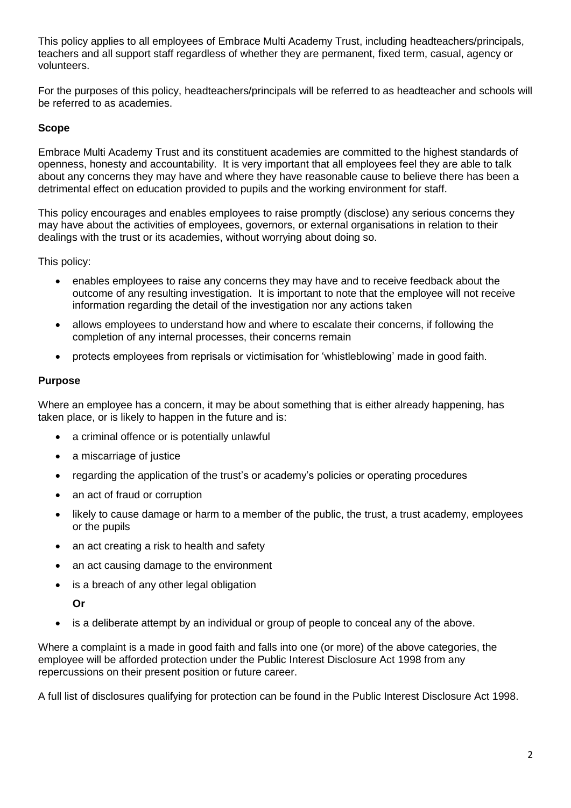This policy applies to all employees of Embrace Multi Academy Trust, including headteachers/principals, teachers and all support staff regardless of whether they are permanent, fixed term, casual, agency or volunteers.

For the purposes of this policy, headteachers/principals will be referred to as headteacher and schools will be referred to as academies.

# **Scope**

Embrace Multi Academy Trust and its constituent academies are committed to the highest standards of openness, honesty and accountability. It is very important that all employees feel they are able to talk about any concerns they may have and where they have reasonable cause to believe there has been a detrimental effect on education provided to pupils and the working environment for staff.

This policy encourages and enables employees to raise promptly (disclose) any serious concerns they may have about the activities of employees, governors, or external organisations in relation to their dealings with the trust or its academies, without worrying about doing so.

This policy:

- enables employees to raise any concerns they may have and to receive feedback about the outcome of any resulting investigation. It is important to note that the employee will not receive information regarding the detail of the investigation nor any actions taken
- allows employees to understand how and where to escalate their concerns, if following the completion of any internal processes, their concerns remain
- protects employees from reprisals or victimisation for 'whistleblowing' made in good faith.

## **Purpose**

Where an employee has a concern, it may be about something that is either already happening, has taken place, or is likely to happen in the future and is:

- a criminal offence or is potentially unlawful
- a miscarriage of justice
- regarding the application of the trust's or academy's policies or operating procedures
- an act of fraud or corruption
- likely to cause damage or harm to a member of the public, the trust, a trust academy, employees or the pupils
- an act creating a risk to health and safety
- an act causing damage to the environment
- is a breach of any other legal obligation

**Or**

• is a deliberate attempt by an individual or group of people to conceal any of the above.

Where a complaint is a made in good faith and falls into one (or more) of the above categories, the employee will be afforded protection under the Public Interest Disclosure Act 1998 from any repercussions on their present position or future career.

A full list of disclosures qualifying for protection can be found in the Public Interest Disclosure Act 1998.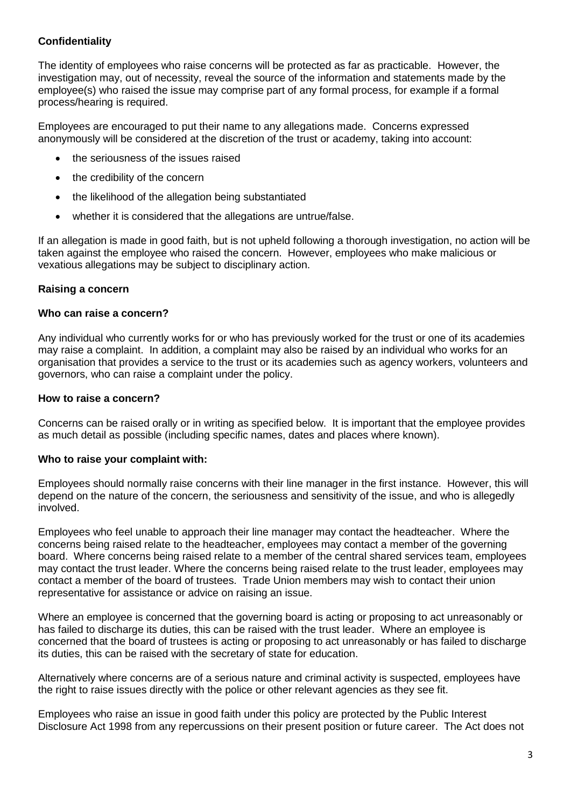# **Confidentiality**

The identity of employees who raise concerns will be protected as far as practicable. However, the investigation may, out of necessity, reveal the source of the information and statements made by the employee(s) who raised the issue may comprise part of any formal process, for example if a formal process/hearing is required.

Employees are encouraged to put their name to any allegations made. Concerns expressed anonymously will be considered at the discretion of the trust or academy, taking into account:

- the seriousness of the issues raised
- the credibility of the concern
- the likelihood of the allegation being substantiated
- whether it is considered that the allegations are untrue/false.

If an allegation is made in good faith, but is not upheld following a thorough investigation, no action will be taken against the employee who raised the concern. However, employees who make malicious or vexatious allegations may be subject to disciplinary action.

## **Raising a concern**

#### **Who can raise a concern?**

Any individual who currently works for or who has previously worked for the trust or one of its academies may raise a complaint. In addition, a complaint may also be raised by an individual who works for an organisation that provides a service to the trust or its academies such as agency workers, volunteers and governors, who can raise a complaint under the policy.

#### **How to raise a concern?**

Concerns can be raised orally or in writing as specified below. It is important that the employee provides as much detail as possible (including specific names, dates and places where known).

## **Who to raise your complaint with:**

Employees should normally raise concerns with their line manager in the first instance. However, this will depend on the nature of the concern, the seriousness and sensitivity of the issue, and who is allegedly involved.

Employees who feel unable to approach their line manager may contact the headteacher. Where the concerns being raised relate to the headteacher, employees may contact a member of the governing board. Where concerns being raised relate to a member of the central shared services team, employees may contact the trust leader. Where the concerns being raised relate to the trust leader, employees may contact a member of the board of trustees. Trade Union members may wish to contact their union representative for assistance or advice on raising an issue.

Where an employee is concerned that the governing board is acting or proposing to act unreasonably or has failed to discharge its duties, this can be raised with the trust leader. Where an employee is concerned that the board of trustees is acting or proposing to act unreasonably or has failed to discharge its duties, this can be raised with the secretary of state for education.

Alternatively where concerns are of a serious nature and criminal activity is suspected, employees have the right to raise issues directly with the police or other relevant agencies as they see fit.

Employees who raise an issue in good faith under this policy are protected by the Public Interest Disclosure Act 1998 from any repercussions on their present position or future career. The Act does not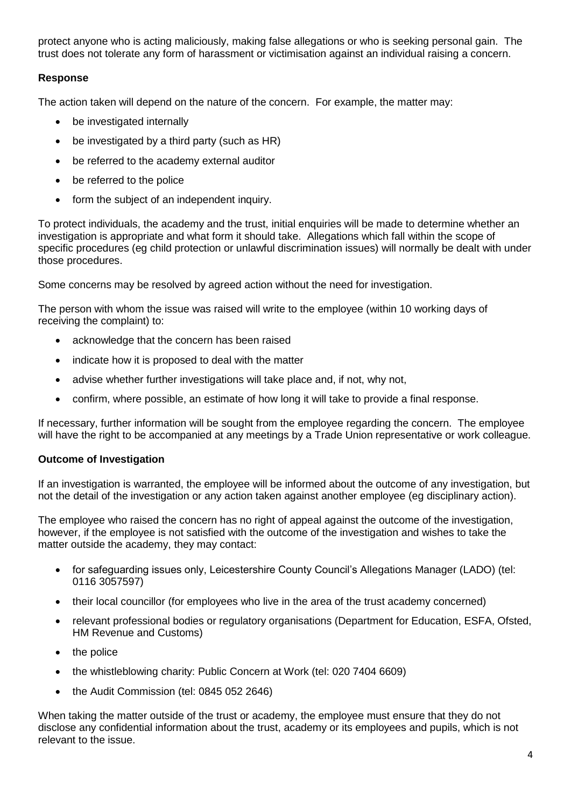protect anyone who is acting maliciously, making false allegations or who is seeking personal gain. The trust does not tolerate any form of harassment or victimisation against an individual raising a concern.

# **Response**

The action taken will depend on the nature of the concern. For example, the matter may:

- be investigated internally
- be investigated by a third party (such as HR)
- be referred to the academy external auditor
- be referred to the police
- form the subject of an independent inquiry.

To protect individuals, the academy and the trust, initial enquiries will be made to determine whether an investigation is appropriate and what form it should take. Allegations which fall within the scope of specific procedures (eg child protection or unlawful discrimination issues) will normally be dealt with under those procedures.

Some concerns may be resolved by agreed action without the need for investigation.

The person with whom the issue was raised will write to the employee (within 10 working days of receiving the complaint) to:

- acknowledge that the concern has been raised
- indicate how it is proposed to deal with the matter
- advise whether further investigations will take place and, if not, why not,
- confirm, where possible, an estimate of how long it will take to provide a final response.

If necessary, further information will be sought from the employee regarding the concern. The employee will have the right to be accompanied at any meetings by a Trade Union representative or work colleague.

# **Outcome of Investigation**

If an investigation is warranted, the employee will be informed about the outcome of any investigation, but not the detail of the investigation or any action taken against another employee (eg disciplinary action).

The employee who raised the concern has no right of appeal against the outcome of the investigation, however, if the employee is not satisfied with the outcome of the investigation and wishes to take the matter outside the academy, they may contact:

- for safeguarding issues only, Leicestershire County Council's Allegations Manager (LADO) (tel: 0116 3057597)
- their local councillor (for employees who live in the area of the trust academy concerned)
- relevant professional bodies or regulatory organisations (Department for Education, ESFA, Ofsted, HM Revenue and Customs)
- the police
- the whistleblowing charity: Public Concern at Work (tel: 020 7404 6609)
- the Audit Commission (tel: 0845 052 2646)

When taking the matter outside of the trust or academy, the employee must ensure that they do not disclose any confidential information about the trust, academy or its employees and pupils, which is not relevant to the issue.